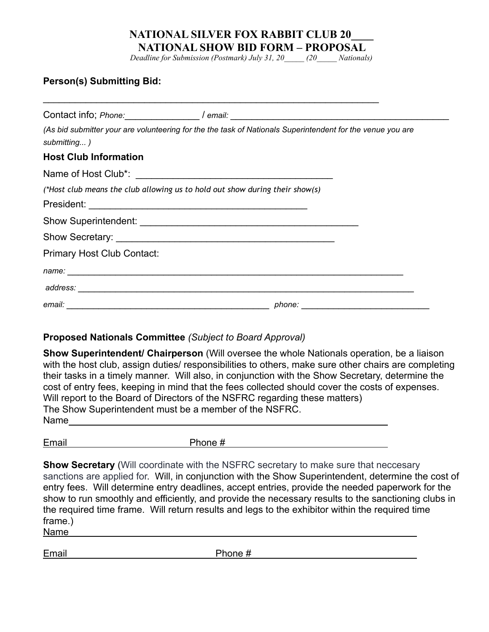*Deadline for Submission (Postmark) July 31, 20\_\_\_\_\_ (20\_\_\_\_\_ Nationals)*

### **Person(s) Submitting Bid:**

|                                                                              | Contact info; Phone: _________________/ email: _________________________________                           |
|------------------------------------------------------------------------------|------------------------------------------------------------------------------------------------------------|
| submitting)                                                                  | (As bid submitter your are volunteering for the the task of Nationals Superintendent for the venue you are |
| <b>Host Club Information</b>                                                 |                                                                                                            |
|                                                                              |                                                                                                            |
| (*Host club means the club allowing us to hold out show during their show(s) |                                                                                                            |
|                                                                              |                                                                                                            |
|                                                                              |                                                                                                            |
|                                                                              |                                                                                                            |
| <b>Primary Host Club Contact:</b>                                            |                                                                                                            |
|                                                                              |                                                                                                            |
|                                                                              |                                                                                                            |
|                                                                              |                                                                                                            |

 $\mathcal{L}_\text{max} = \mathcal{L}_\text{max} = \mathcal{L}_\text{max} = \mathcal{L}_\text{max} = \mathcal{L}_\text{max} = \mathcal{L}_\text{max} = \mathcal{L}_\text{max} = \mathcal{L}_\text{max} = \mathcal{L}_\text{max} = \mathcal{L}_\text{max} = \mathcal{L}_\text{max} = \mathcal{L}_\text{max} = \mathcal{L}_\text{max} = \mathcal{L}_\text{max} = \mathcal{L}_\text{max} = \mathcal{L}_\text{max} = \mathcal{L}_\text{max} = \mathcal{L}_\text{max} = \mathcal{$ 

### **Proposed Nationals Committee** *(Subject to Board Approval)*

**Show Superintendent/ Chairperson** (Will oversee the whole Nationals operation, be a liaison with the host club, assign duties/ responsibilities to others, make sure other chairs are completing their tasks in a timely manner. Will also, in conjunction with the Show Secretary, determine the cost of entry fees, keeping in mind that the fees collected should cover the costs of expenses. Will report to the Board of Directors of the NSFRC regarding these matters) The Show Superintendent must be a member of the NSFRC. Name

Email **Email** Phone #

**Show Secretary** (Will coordinate with the NSFRC secretary to make sure that neccesary sanctions are applied for. Will, in conjunction with the Show Superintendent, determine the cost of entry fees. Will determine entry deadlines, accept entries, provide the needed paperwork for the show to run smoothly and efficiently, and provide the necessary results to the sanctioning clubs in the required time frame. Will return results and legs to the exhibitor within the required time frame.)

Name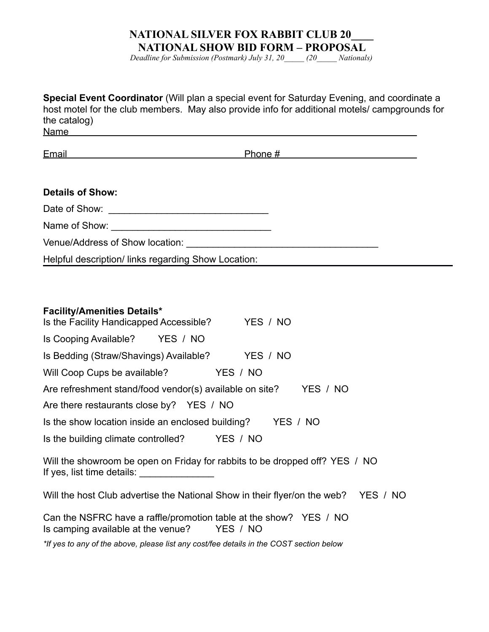*Deadline for Submission (Postmark) July 31, 20\_\_\_\_\_ (20\_\_\_\_\_ Nationals)*

| Special Event Coordinator (Will plan a special event for Saturday Evening, and coordinate a<br>host motel for the club members. May also provide info for additional motels/ campgrounds for<br>the catalog)<br>Name and the second contract of the second contract of the second contract of the second contract of the second contract of the second contract of the second contract of the second contract of the second contract of the se |
|------------------------------------------------------------------------------------------------------------------------------------------------------------------------------------------------------------------------------------------------------------------------------------------------------------------------------------------------------------------------------------------------------------------------------------------------|
| <u>Email and the contract of the contract of the contract of the contract of the contract of the contract of the contract of the contract of the contract of the contract of the contract of the contract of the contract of the</u>                                                                                                                                                                                                           |
| <b>Details of Show:</b>                                                                                                                                                                                                                                                                                                                                                                                                                        |
|                                                                                                                                                                                                                                                                                                                                                                                                                                                |
|                                                                                                                                                                                                                                                                                                                                                                                                                                                |
|                                                                                                                                                                                                                                                                                                                                                                                                                                                |
| Helpful description/links regarding Show Location:                                                                                                                                                                                                                                                                                                                                                                                             |
| <b>Facility/Amenities Details*</b><br>Is the Facility Handicapped Accessible? YES / NO                                                                                                                                                                                                                                                                                                                                                         |
| Is Cooping Available? YES / NO                                                                                                                                                                                                                                                                                                                                                                                                                 |
| Is Bedding (Straw/Shavings) Available? YES / NO                                                                                                                                                                                                                                                                                                                                                                                                |
| Will Coop Cups be available? YES / NO                                                                                                                                                                                                                                                                                                                                                                                                          |
| Are refreshment stand/food vendor(s) available on site?<br>YES / NO                                                                                                                                                                                                                                                                                                                                                                            |
| Are there restaurants close by? YES / NO                                                                                                                                                                                                                                                                                                                                                                                                       |
| Is the show location inside an enclosed building?<br>YES / NO                                                                                                                                                                                                                                                                                                                                                                                  |
| YES / NO<br>Is the building climate controlled?                                                                                                                                                                                                                                                                                                                                                                                                |
| Will the showroom be open on Friday for rabbits to be dropped off? YES / NO<br>If yes, list time details: _________________                                                                                                                                                                                                                                                                                                                    |
| Will the host Club advertise the National Show in their flyer/on the web? YES / NO                                                                                                                                                                                                                                                                                                                                                             |
| Can the NCEDC house smaller inconstitution to be a shown $2.57 \times 100$                                                                                                                                                                                                                                                                                                                                                                     |

Can the NSFRC have a raffle/promotion table at the show? YES / NO Is camping available at the venue? YES / NO

*\*If yes to any of the above, please list any cost/fee details in the COST section below*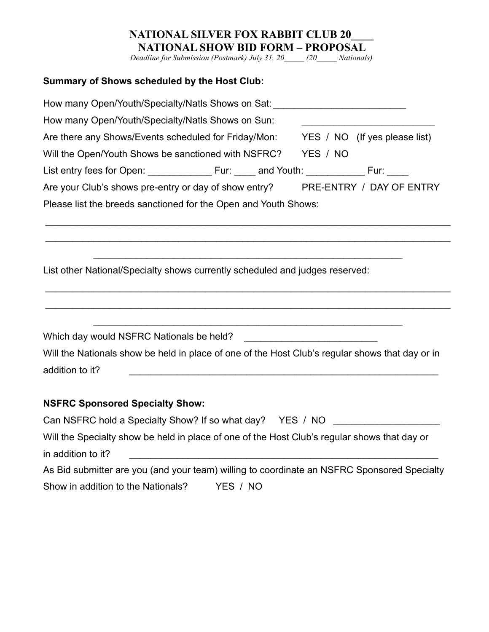*Deadline for Submission (Postmark) July 31, 20\_\_\_\_\_ (20\_\_\_\_\_ Nationals)*

# **Summary of Shows scheduled by the Host Club:**

| How many Open/Youth/Specialty/Natls Shows on Sat: ______________________________                |  |                               |                          |  |  |  |
|-------------------------------------------------------------------------------------------------|--|-------------------------------|--------------------------|--|--|--|
| How many Open/Youth/Specialty/Natls Shows on Sun:                                               |  |                               |                          |  |  |  |
| Are there any Shows/Events scheduled for Friday/Mon:                                            |  | YES / NO (If yes please list) |                          |  |  |  |
| Will the Open/Youth Shows be sanctioned with NSFRC?                                             |  | YES / NO                      |                          |  |  |  |
|                                                                                                 |  |                               |                          |  |  |  |
| Are your Club's shows pre-entry or day of show entry?                                           |  |                               | PRE-ENTRY / DAY OF ENTRY |  |  |  |
| Please list the breeds sanctioned for the Open and Youth Shows:                                 |  |                               |                          |  |  |  |
|                                                                                                 |  |                               |                          |  |  |  |
|                                                                                                 |  |                               |                          |  |  |  |
|                                                                                                 |  |                               |                          |  |  |  |
| List other National/Specialty shows currently scheduled and judges reserved:                    |  |                               |                          |  |  |  |
|                                                                                                 |  |                               |                          |  |  |  |
|                                                                                                 |  |                               |                          |  |  |  |
|                                                                                                 |  |                               |                          |  |  |  |
|                                                                                                 |  |                               |                          |  |  |  |
|                                                                                                 |  |                               |                          |  |  |  |
| Will the Nationals show be held in place of one of the Host Club's regular shows that day or in |  |                               |                          |  |  |  |
| addition to it?                                                                                 |  |                               |                          |  |  |  |
|                                                                                                 |  |                               |                          |  |  |  |
| <b>NSFRC Sponsored Specialty Show:</b>                                                          |  |                               |                          |  |  |  |
| Can NSFRC hold a Specialty Show? If so what day? YES / NO                                       |  |                               |                          |  |  |  |
| Will the Specialty show be held in place of one of the Host Club's regular shows that day or    |  |                               |                          |  |  |  |
| in addition to it?                                                                              |  |                               |                          |  |  |  |
|                                                                                                 |  |                               |                          |  |  |  |

As Bid submitter are you (and your team) willing to coordinate an NSFRC Sponsored Specialty Show in addition to the Nationals? YES / NO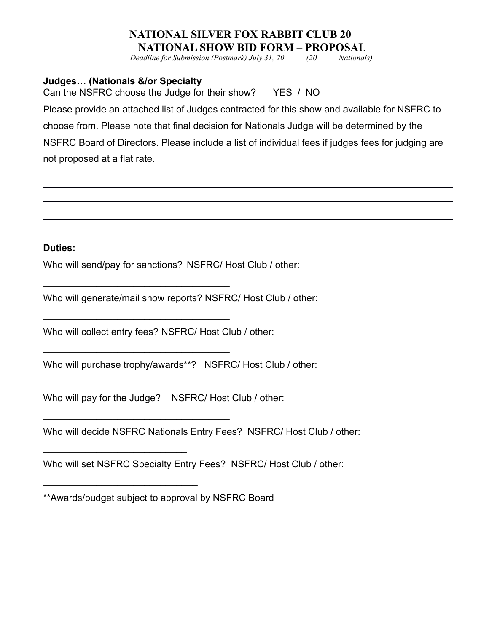*Deadline for Submission (Postmark) July 31, 20\_\_\_\_\_ (20\_\_\_\_\_ Nationals)*

## **Judges… (Nationals &/or Specialty**

Can the NSFRC choose the Judge for their show? YES / NO

Please provide an attached list of Judges contracted for this show and available for NSFRC to choose from. Please note that final decision for Nationals Judge will be determined by the NSFRC Board of Directors. Please include a list of individual fees if judges fees for judging are not proposed at a flat rate.

#### **Duties:**

Who will send/pay for sanctions? NSFRC/ Host Club / other:

Who will generate/mail show reports? NSFRC/ Host Club / other:

Who will collect entry fees? NSFRC/ Host Club / other:

 $\mathcal{L}_\text{max}$  , where  $\mathcal{L}_\text{max}$  and  $\mathcal{L}_\text{max}$  and  $\mathcal{L}_\text{max}$ 

\_\_\_\_\_\_\_\_\_\_\_\_\_\_\_\_\_\_\_\_\_\_\_\_\_\_\_\_\_\_\_\_\_\_\_

\_\_\_\_\_\_\_\_\_\_\_\_\_\_\_\_\_\_\_\_\_\_\_\_\_\_\_\_\_\_\_\_\_\_\_

 $\_$ 

 $\_$ 

 $\mathcal{L}_\text{max}$  , where  $\mathcal{L}_\text{max}$  is the set of the set of the set of the set of the set of the set of the set of the set of the set of the set of the set of the set of the set of the set of the set of the set of the se

 $\mathcal{L}_\text{max}$  , where  $\mathcal{L}_\text{max}$  is the set of the set of the set of the set of the set of the set of the set of the set of the set of the set of the set of the set of the set of the set of the set of the set of the se

Who will purchase trophy/awards\*\*? NSFRC/ Host Club / other:

Who will pay for the Judge? NSFRC/ Host Club / other:

Who will decide NSFRC Nationals Entry Fees? NSFRC/ Host Club / other:

Who will set NSFRC Specialty Entry Fees? NSFRC/ Host Club / other:

<sup>\*\*</sup>Awards/budget subject to approval by NSFRC Board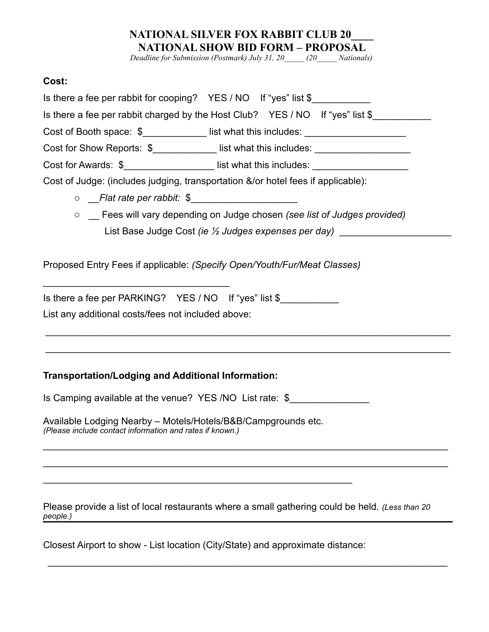*Deadline for Submission (Postmark) July 31, 20\_\_\_\_\_ (20\_\_\_\_\_ Nationals)*

## **Cost:**

| Is there a fee per rabbit for cooping? YES / NO If "yes" list \$                                                          |
|---------------------------------------------------------------------------------------------------------------------------|
| Is there a fee per rabbit charged by the Host Club? YES / NO If "yes" list \$                                             |
| Cost of Booth space: \$______________ list what this includes: __________________                                         |
| Cost for Show Reports: \$______________ list what this includes: ________________                                         |
| Cost for Awards: \$______________________list what this includes: _______________                                         |
| Cost of Judge: (includes judging, transportation &/or hotel fees if applicable):                                          |
| o Flat rate per rabbit: \$                                                                                                |
| ○ _ Fees will vary depending on Judge chosen (see list of Judges provided)                                                |
| List Base Judge Cost (ie 1/2 Judges expenses per day) __________________________                                          |
|                                                                                                                           |
| Proposed Entry Fees if applicable: (Specify Open/Youth/Fur/Meat Classes)                                                  |
| Is there a fee per PARKING? YES / NO If "yes" list \$                                                                     |
| List any additional costs/fees not included above:                                                                        |
|                                                                                                                           |
|                                                                                                                           |
|                                                                                                                           |
| <b>Transportation/Lodging and Additional Information:</b>                                                                 |
| Is Camping available at the venue? YES /NO List rate: \$                                                                  |
| Available Lodging Nearby - Motels/Hotels/B&B/Campgrounds etc.<br>(Please include contact information and rates if known.) |
|                                                                                                                           |
|                                                                                                                           |
|                                                                                                                           |
|                                                                                                                           |
| Please provide a list of local restaurants where a small gathering could be held. (Less than 20<br>people.)               |

Closest Airport to show - List location (City/State) and approximate distance:

\_\_\_\_\_\_\_\_\_\_\_\_\_\_\_\_\_\_\_\_\_\_\_\_\_\_\_\_\_\_\_\_\_\_\_\_\_\_\_\_\_\_\_\_\_\_\_\_\_\_\_\_\_\_\_\_\_\_\_\_\_\_\_\_\_\_\_\_\_\_\_\_\_\_\_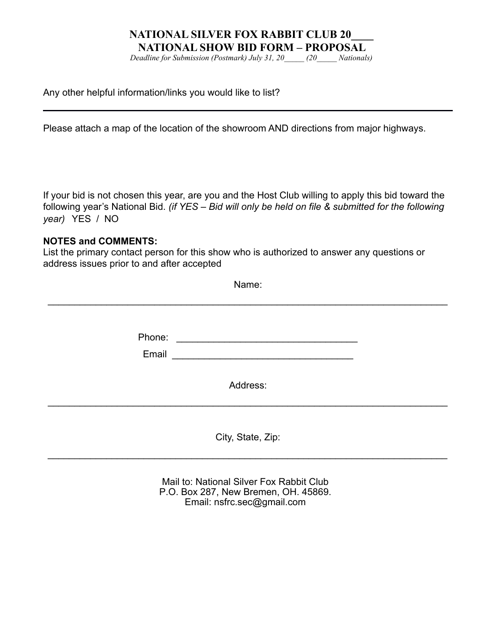*Deadline for Submission (Postmark) July 31, 20\_\_\_\_\_ (20\_\_\_\_\_ Nationals)*

Any other helpful information/links you would like to list?

Please attach a map of the location of the showroom AND directions from major highways.

If your bid is not chosen this year, are you and the Host Club willing to apply this bid toward the following year's National Bid. *(if YES – Bid will only be held on file & submitted for the following year)* YES / NO

#### **NOTES and COMMENTS:**

List the primary contact person for this show who is authorized to answer any questions or address issues prior to and after accepted

|        | Name:                                                                                                                  |  |
|--------|------------------------------------------------------------------------------------------------------------------------|--|
|        |                                                                                                                        |  |
|        |                                                                                                                        |  |
| Phone: | <u> 1980 - Jan Stein Harry Harry Harry Harry Harry Harry Harry Harry Harry Harry Harry Harry Harry Harry Harry Har</u> |  |
| Email  |                                                                                                                        |  |
|        |                                                                                                                        |  |
|        | Address:                                                                                                               |  |
|        |                                                                                                                        |  |
|        |                                                                                                                        |  |
|        | City, State, Zip:                                                                                                      |  |
|        |                                                                                                                        |  |

Mail to: National Silver Fox Rabbit Club P.O. Box 287, New Bremen, OH. 45869. Email: nsfrc.sec@gmail.com